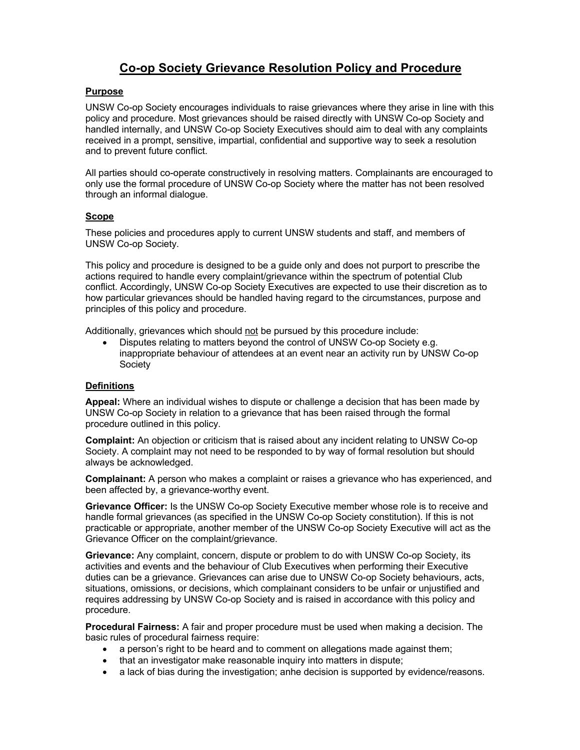# **Co-op Society Grievance Resolution Policy and Procedure**

# **Purpose**

UNSW Co-op Society encourages individuals to raise grievances where they arise in line with this policy and procedure. Most grievances should be raised directly with UNSW Co-op Society and handled internally, and UNSW Co-op Society Executives should aim to deal with any complaints received in a prompt, sensitive, impartial, confidential and supportive way to seek a resolution and to prevent future conflict.

All parties should co-operate constructively in resolving matters. Complainants are encouraged to only use the formal procedure of UNSW Co-op Society where the matter has not been resolved through an informal dialogue.

## **Scope**

These policies and procedures apply to current UNSW students and staff, and members of UNSW Co-op Society.

This policy and procedure is designed to be a guide only and does not purport to prescribe the actions required to handle every complaint/grievance within the spectrum of potential Club conflict. Accordingly, UNSW Co-op Society Executives are expected to use their discretion as to how particular grievances should be handled having regard to the circumstances, purpose and principles of this policy and procedure.

Additionally, grievances which should not be pursued by this procedure include:

• Disputes relating to matters beyond the control of UNSW Co-op Society e.g. inappropriate behaviour of attendees at an event near an activity run by UNSW Co-op **Society** 

## **Definitions**

**Appeal:** Where an individual wishes to dispute or challenge a decision that has been made by UNSW Co-op Society in relation to a grievance that has been raised through the formal procedure outlined in this policy.

**Complaint:** An objection or criticism that is raised about any incident relating to UNSW Co-op Society. A complaint may not need to be responded to by way of formal resolution but should always be acknowledged.

**Complainant:** A person who makes a complaint or raises a grievance who has experienced, and been affected by, a grievance-worthy event.

**Grievance Officer:** Is the UNSW Co-op Society Executive member whose role is to receive and handle formal grievances (as specified in the UNSW Co-op Society constitution). If this is not practicable or appropriate, another member of the UNSW Co-op Society Executive will act as the Grievance Officer on the complaint/grievance.

**Grievance:** Any complaint, concern, dispute or problem to do with UNSW Co-op Society, its activities and events and the behaviour of Club Executives when performing their Executive duties can be a grievance. Grievances can arise due to UNSW Co-op Society behaviours, acts, situations, omissions, or decisions, which complainant considers to be unfair or unjustified and requires addressing by UNSW Co-op Society and is raised in accordance with this policy and procedure.

**Procedural Fairness:** A fair and proper procedure must be used when making a decision. The basic rules of procedural fairness require:

- a person's right to be heard and to comment on allegations made against them;
- that an investigator make reasonable inquiry into matters in dispute;
- a lack of bias during the investigation; anhe decision is supported by evidence/reasons.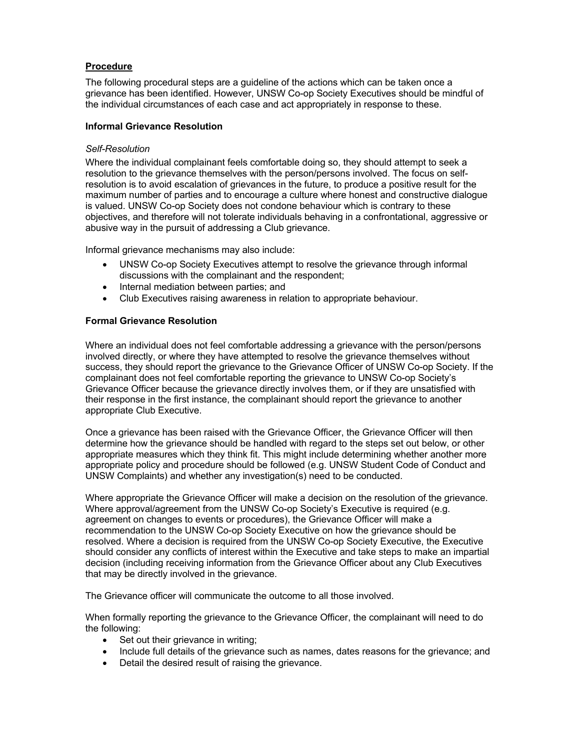## **Procedure**

The following procedural steps are a guideline of the actions which can be taken once a grievance has been identified. However, UNSW Co-op Society Executives should be mindful of the individual circumstances of each case and act appropriately in response to these.

## **Informal Grievance Resolution**

## *Self-Resolution*

Where the individual complainant feels comfortable doing so, they should attempt to seek a resolution to the grievance themselves with the person/persons involved. The focus on selfresolution is to avoid escalation of grievances in the future, to produce a positive result for the maximum number of parties and to encourage a culture where honest and constructive dialogue is valued. UNSW Co-op Society does not condone behaviour which is contrary to these objectives, and therefore will not tolerate individuals behaving in a confrontational, aggressive or abusive way in the pursuit of addressing a Club grievance.

Informal grievance mechanisms may also include:

- UNSW Co-op Society Executives attempt to resolve the grievance through informal discussions with the complainant and the respondent;
- Internal mediation between parties; and
- Club Executives raising awareness in relation to appropriate behaviour.

# **Formal Grievance Resolution**

Where an individual does not feel comfortable addressing a grievance with the person/persons involved directly, or where they have attempted to resolve the grievance themselves without success, they should report the grievance to the Grievance Officer of UNSW Co-op Society. If the complainant does not feel comfortable reporting the grievance to UNSW Co-op Society's Grievance Officer because the grievance directly involves them, or if they are unsatisfied with their response in the first instance, the complainant should report the grievance to another appropriate Club Executive.

Once a grievance has been raised with the Grievance Officer, the Grievance Officer will then determine how the grievance should be handled with regard to the steps set out below, or other appropriate measures which they think fit. This might include determining whether another more appropriate policy and procedure should be followed (e.g. UNSW Student Code of Conduct and UNSW Complaints) and whether any investigation(s) need to be conducted.

Where appropriate the Grievance Officer will make a decision on the resolution of the grievance. Where approval/agreement from the UNSW Co-op Society's Executive is required (e.g. agreement on changes to events or procedures), the Grievance Officer will make a recommendation to the UNSW Co-op Society Executive on how the grievance should be resolved. Where a decision is required from the UNSW Co-op Society Executive, the Executive should consider any conflicts of interest within the Executive and take steps to make an impartial decision (including receiving information from the Grievance Officer about any Club Executives that may be directly involved in the grievance.

The Grievance officer will communicate the outcome to all those involved.

When formally reporting the grievance to the Grievance Officer, the complainant will need to do the following:

- Set out their grievance in writing;
- Include full details of the grievance such as names, dates reasons for the grievance; and
- Detail the desired result of raising the grievance.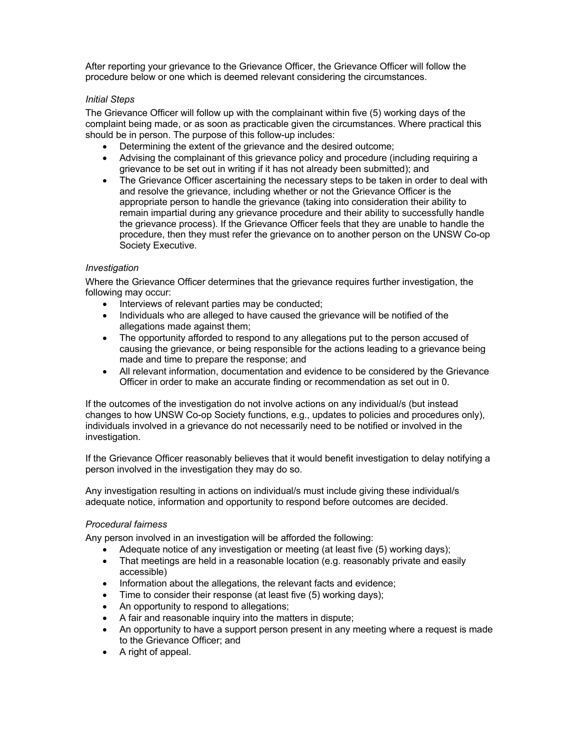After reporting your grievance to the Grievance Officer, the Grievance Officer will follow the procedure below or one which is deemed relevant considering the circumstances.

## *Initial Steps*

The Grievance Officer will follow up with the complainant within five (5) working days of the complaint being made, or as soon as practicable given the circumstances. Where practical this should be in person. The purpose of this follow-up includes:

- Determining the extent of the grievance and the desired outcome;
- Advising the complainant of this grievance policy and procedure (including requiring a grievance to be set out in writing if it has not already been submitted); and
- The Grievance Officer ascertaining the necessary steps to be taken in order to deal with and resolve the grievance, including whether or not the Grievance Officer is the appropriate person to handle the grievance (taking into consideration their ability to remain impartial during any grievance procedure and their ability to successfully handle the grievance process). If the Grievance Officer feels that they are unable to handle the procedure, then they must refer the grievance on to another person on the UNSW Co-op Society Executive.

# *Investigation*

Where the Grievance Officer determines that the grievance requires further investigation, the following may occur:

- Interviews of relevant parties may be conducted;
- Individuals who are alleged to have caused the grievance will be notified of the allegations made against them;
- The opportunity afforded to respond to any allegations put to the person accused of causing the grievance, or being responsible for the actions leading to a grievance being made and time to prepare the response; and
- All relevant information, documentation and evidence to be considered by the Grievance Officer in order to make an accurate finding or recommendation as set out in 0.

If the outcomes of the investigation do not involve actions on any individual/s (but instead changes to how UNSW Co-op Society functions, e.g., updates to policies and procedures only), individuals involved in a grievance do not necessarily need to be notified or involved in the investigation.

If the Grievance Officer reasonably believes that it would benefit investigation to delay notifying a person involved in the investigation they may do so.

Any investigation resulting in actions on individual/s must include giving these individual/s adequate notice, information and opportunity to respond before outcomes are decided.

## *Procedural fairness*

Any person involved in an investigation will be afforded the following:

- Adequate notice of any investigation or meeting (at least five (5) working days);
- That meetings are held in a reasonable location (e.g. reasonably private and easily accessible)
- Information about the allegations, the relevant facts and evidence;
- Time to consider their response (at least five (5) working days);
- An opportunity to respond to allegations;
- A fair and reasonable inquiry into the matters in dispute;
- An opportunity to have a support person present in any meeting where a request is made to the Grievance Officer; and
- A right of appeal.